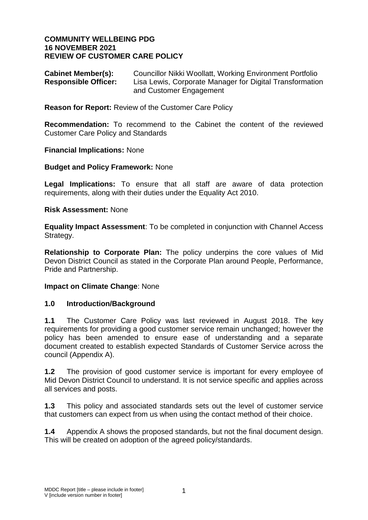## **COMMUNITY WELLBEING PDG 16 NOVEMBER 2021 REVIEW OF CUSTOMER CARE POLICY**

**Cabinet Member(s):** Councillor Nikki Woollatt, Working Environment Portfolio **Responsible Officer:** Lisa Lewis, Corporate Manager for Digital Transformation and Customer Engagement

**Reason for Report:** Review of the Customer Care Policy

**Recommendation:** To recommend to the Cabinet the content of the reviewed Customer Care Policy and Standards

## **Financial Implications:** None

## **Budget and Policy Framework:** None

**Legal Implications:** To ensure that all staff are aware of data protection requirements, along with their duties under the Equality Act 2010.

## **Risk Assessment:** None

**Equality Impact Assessment**: To be completed in conjunction with Channel Access Strategy.

**Relationship to Corporate Plan:** The policy underpins the core values of Mid Devon District Council as stated in the Corporate Plan around People, Performance, Pride and Partnership.

#### **Impact on Climate Change**: None

#### **1.0 Introduction/Background**

**1.1** The Customer Care Policy was last reviewed in August 2018. The key requirements for providing a good customer service remain unchanged; however the policy has been amended to ensure ease of understanding and a separate document created to establish expected Standards of Customer Service across the council (Appendix A).

**1.2** The provision of good customer service is important for every employee of Mid Devon District Council to understand. It is not service specific and applies across all services and posts.

**1.3** This policy and associated standards sets out the level of customer service that customers can expect from us when using the contact method of their choice.

**1.4** Appendix A shows the proposed standards, but not the final document design. This will be created on adoption of the agreed policy/standards.